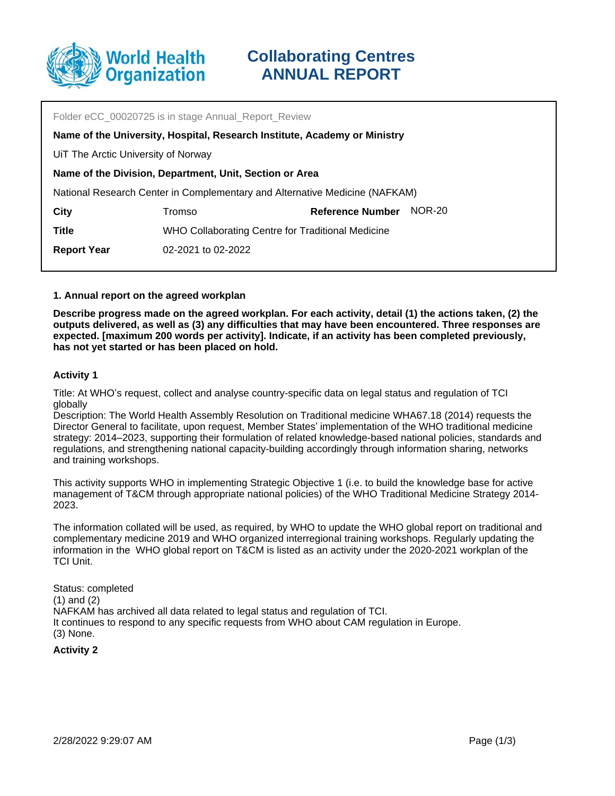

Folder eCC\_00020725 is in stage Annual\_Report\_Review Tromso UiT The Arctic University of Norway **Name of the Division, Department, Unit, Section or Area** National Research Center in Complementary and Alternative Medicine (NAFKAM) **City Reference Number** NOR-20 **Name of the University, Hospital, Research Institute, Academy or Ministry Title** WHO Collaborating Centre for Traditional Medicine **Report Year** 02-2021 to 02-2022

### **1. Annual report on the agreed workplan**

**Describe progress made on the agreed workplan. For each activity, detail (1) the actions taken, (2) the outputs delivered, as well as (3) any difficulties that may have been encountered. Three responses are expected. [maximum 200 words per activity]. Indicate, if an activity has been completed previously, has not yet started or has been placed on hold.**

### **Activity 1**

Title: At WHO's request, collect and analyse country-specific data on legal status and regulation of TCI globally

Description: The World Health Assembly Resolution on Traditional medicine WHA67.18 (2014) requests the Director General to facilitate, upon request, Member States' implementation of the WHO traditional medicine strategy: 2014–2023, supporting their formulation of related knowledge-based national policies, standards and regulations, and strengthening national capacity-building accordingly through information sharing, networks and training workshops.

This activity supports WHO in implementing Strategic Objective 1 (i.e. to build the knowledge base for active management of T&CM through appropriate national policies) of the WHO Traditional Medicine Strategy 2014- 2023.

The information collated will be used, as required, by WHO to update the WHO global report on traditional and complementary medicine 2019 and WHO organized interregional training workshops. Regularly updating the information in the WHO global report on T&CM is listed as an activity under the 2020-2021 workplan of the TCI Unit.

Status: completed (1) and (2) NAFKAM has archived all data related to legal status and regulation of TCI. It continues to respond to any specific requests from WHO about CAM regulation in Europe. (3) None.

**Activity 2**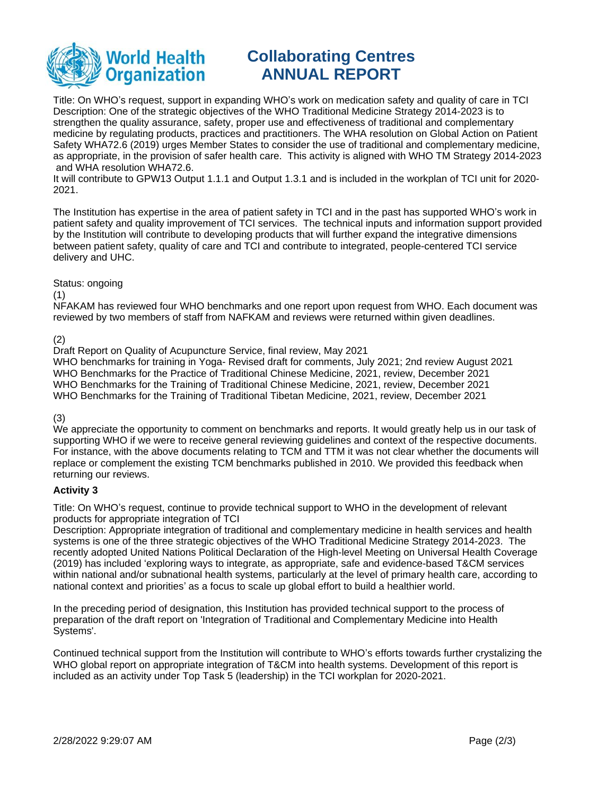

# **Collaborating Centres ANNUAL REPORT**

Title: On WHO's request, support in expanding WHO's work on medication safety and quality of care in TCI Description: One of the strategic objectives of the WHO Traditional Medicine Strategy 2014-2023 is to strengthen the quality assurance, safety, proper use and effectiveness of traditional and complementary medicine by regulating products, practices and practitioners. The WHA resolution on Global Action on Patient Safety WHA72.6 (2019) urges Member States to consider the use of traditional and complementary medicine, as appropriate, in the provision of safer health care. This activity is aligned with WHO TM Strategy 2014-2023 and WHA resolution WHA72.6.

It will contribute to GPW13 Output 1.1.1 and Output 1.3.1 and is included in the workplan of TCI unit for 2020- 2021.

The Institution has expertise in the area of patient safety in TCI and in the past has supported WHO's work in patient safety and quality improvement of TCI services. The technical inputs and information support provided by the Institution will contribute to developing products that will further expand the integrative dimensions between patient safety, quality of care and TCI and contribute to integrated, people-centered TCI service delivery and UHC.

## Status: ongoing

### (1)

NFAKAM has reviewed four WHO benchmarks and one report upon request from WHO. Each document was reviewed by two members of staff from NAFKAM and reviews were returned within given deadlines.

## (2)

Draft Report on Quality of Acupuncture Service, final review, May 2021 WHO benchmarks for training in Yoga- Revised draft for comments, July 2021; 2nd review August 2021 WHO Benchmarks for the Practice of Traditional Chinese Medicine, 2021, review, December 2021 WHO Benchmarks for the Training of Traditional Chinese Medicine, 2021, review, December 2021 WHO Benchmarks for the Training of Traditional Tibetan Medicine, 2021, review, December 2021

# (3)

We appreciate the opportunity to comment on benchmarks and reports. It would greatly help us in our task of supporting WHO if we were to receive general reviewing guidelines and context of the respective documents. For instance, with the above documents relating to TCM and TTM it was not clear whether the documents will replace or complement the existing TCM benchmarks published in 2010. We provided this feedback when returning our reviews.

## **Activity 3**

Title: On WHO's request, continue to provide technical support to WHO in the development of relevant products for appropriate integration of TCI

Description: Appropriate integration of traditional and complementary medicine in health services and health systems is one of the three strategic objectives of the WHO Traditional Medicine Strategy 2014-2023. The recently adopted United Nations Political Declaration of the High-level Meeting on Universal Health Coverage (2019) has included 'exploring ways to integrate, as appropriate, safe and evidence-based T&CM services within national and/or subnational health systems, particularly at the level of primary health care, according to national context and priorities' as a focus to scale up global effort to build a healthier world.

In the preceding period of designation, this Institution has provided technical support to the process of preparation of the draft report on 'Integration of Traditional and Complementary Medicine into Health Systems'.

Continued technical support from the Institution will contribute to WHO's efforts towards further crystalizing the WHO global report on appropriate integration of T&CM into health systems. Development of this report is included as an activity under Top Task 5 (leadership) in the TCI workplan for 2020-2021.